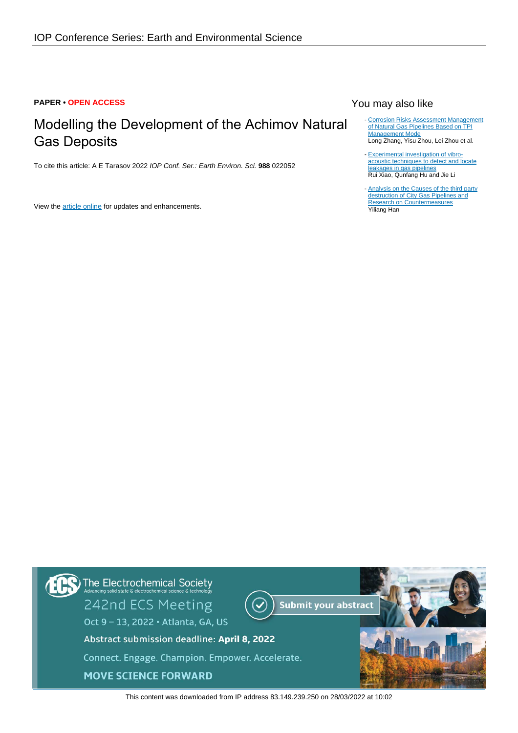### **PAPER • OPEN ACCESS**

# Modelling the Development of the Achimov Natural Gas Deposits

To cite this article: A E Tarasov 2022 IOP Conf. Ser.: Earth Environ. Sci. **988** 022052

View the [article online](https://doi.org/10.1088/1755-1315/988/2/022052) for updates and enhancements.

## You may also like

- [Corrosion Risks Assessment Management](https://iopscience.iop.org/article/10.1088/1755-1315/526/1/012128) [of Natural Gas Pipelines Based on TPI](https://iopscience.iop.org/article/10.1088/1755-1315/526/1/012128) [Management Mode](https://iopscience.iop.org/article/10.1088/1755-1315/526/1/012128) Long Zhang, Yisu Zhou, Lei Zhou et al.
- [Experimental investigation of vibro](https://iopscience.iop.org/article/10.1088/1361-6501/ac0847)[acoustic techniques to detect and locate](https://iopscience.iop.org/article/10.1088/1361-6501/ac0847) [leakages in gas pipelines](https://iopscience.iop.org/article/10.1088/1361-6501/ac0847) Rui Xiao, Qunfang Hu and Jie Li
- [Analysis on the Causes of the third party](https://iopscience.iop.org/article/10.1088/1755-1315/651/3/032010) [destruction of City Gas Pipelines and](https://iopscience.iop.org/article/10.1088/1755-1315/651/3/032010) [Research on Countermeasures](https://iopscience.iop.org/article/10.1088/1755-1315/651/3/032010) Yiliang Han



This content was downloaded from IP address 83.149.239.250 on 28/03/2022 at 10:02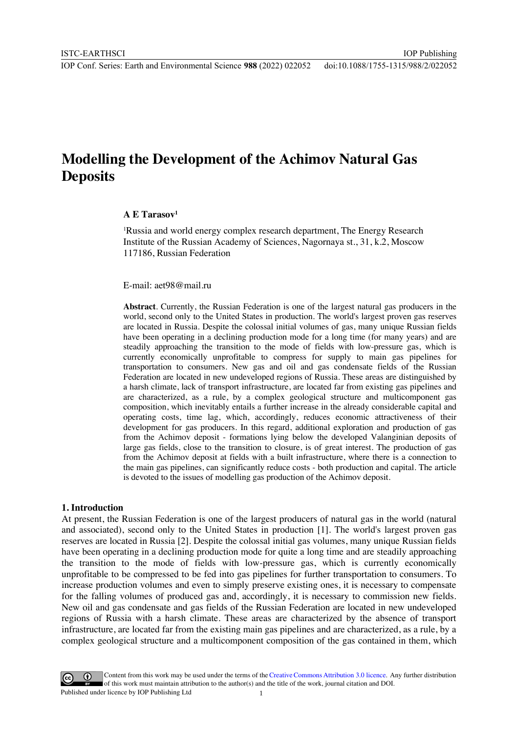IOP Publishing

## **Modelling the Development of the Achimov Natural Gas Deposits**

## **A E Tarasov1**

<sup>1</sup>Russia and world energy complex research department, The Energy Research Institute of the Russian Academy of Sciences, Nagornaya st., 31, k.2, Moscow 117186, Russian Federation

E-mail: aet98@mail.ru

**Abstract**. Currently, the Russian Federation is one of the largest natural gas producers in the world, second only to the United States in production. The world's largest proven gas reserves are located in Russia. Despite the colossal initial volumes of gas, many unique Russian fields have been operating in a declining production mode for a long time (for many years) and are steadily approaching the transition to the mode of fields with low-pressure gas, which is currently economically unprofitable to compress for supply to main gas pipelines for transportation to consumers. New gas and oil and gas condensate fields of the Russian Federation are located in new undeveloped regions of Russia. These areas are distinguished by a harsh climate, lack of transport infrastructure, are located far from existing gas pipelines and are characterized, as a rule, by a complex geological structure and multicomponent gas composition, which inevitably entails a further increase in the already considerable capital and operating costs, time lag, which, accordingly, reduces economic attractiveness of their development for gas producers. In this regard, additional exploration and production of gas from the Achimov deposit - formations lying below the developed Valanginian deposits of large gas fields, close to the transition to closure, is of great interest. The production of gas from the Achimov deposit at fields with a built infrastructure, where there is a connection to the main gas pipelines, can significantly reduce costs - both production and capital. The article is devoted to the issues of modelling gas production of the Achimov deposit.

#### **1. Introduction**

At present, the Russian Federation is one of the largest producers of natural gas in the world (natural and associated), second only to the United States in production [1]. The world's largest proven gas reserves are located in Russia [2]. Despite the colossal initial gas volumes, many unique Russian fields have been operating in a declining production mode for quite a long time and are steadily approaching the transition to the mode of fields with low-pressure gas, which is currently economically unprofitable to be compressed to be fed into gas pipelines for further transportation to consumers. To increase production volumes and even to simply preserve existing ones, it is necessary to compensate for the falling volumes of produced gas and, accordingly, it is necessary to commission new fields. New oil and gas condensate and gas fields of the Russian Federation are located in new undeveloped regions of Russia with a harsh climate. These areas are characterized by the absence of transport infrastructure, are located far from the existing main gas pipelines and are characterized, as a rule, by a complex geological structure and a multicomponent composition of the gas contained in them, which

Content from this work may be used under the terms of theCreative Commons Attribution 3.0 licence. Any further distribution of this work must maintain attribution to the author(s) and the title of the work, journal citation and DOI. Published under licence by IOP Publishing Ltd 1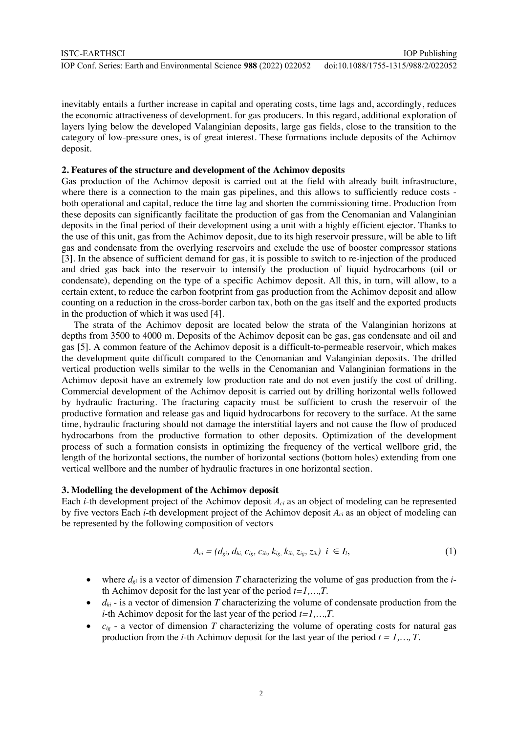inevitably entails a further increase in capital and operating costs, time lags and, accordingly, reduces the economic attractiveness of development. for gas producers. In this regard, additional exploration of layers lying below the developed Valanginian deposits, large gas fields, close to the transition to the category of low-pressure ones, is of great interest. These formations include deposits of the Achimov deposit.

## **2. Features of the structure and development of the Achimov deposits**

Gas production of the Achimov deposit is carried out at the field with already built infrastructure, where there is a connection to the main gas pipelines, and this allows to sufficiently reduce costs both operational and capital, reduce the time lag and shorten the commissioning time. Production from these deposits can significantly facilitate the production of gas from the Cenomanian and Valanginian deposits in the final period of their development using a unit with a highly efficient ejector. Thanks to the use of this unit, gas from the Achimov deposit, due to its high reservoir pressure, will be able to lift gas and condensate from the overlying reservoirs and exclude the use of booster compressor stations [3]. In the absence of sufficient demand for gas, it is possible to switch to re-injection of the produced and dried gas back into the reservoir to intensify the production of liquid hydrocarbons (oil or condensate), depending on the type of a specific Achimov deposit. All this, in turn, will allow, to a certain extent, to reduce the carbon footprint from gas production from the Achimov deposit and allow counting on a reduction in the cross-border carbon tax, both on the gas itself and the exported products in the production of which it was used [4].

The strata of the Achimov deposit are located below the strata of the Valanginian horizons at depths from 3500 to 4000 m. Deposits of the Achimov deposit can be gas, gas condensate and oil and gas [5]. A common feature of the Achimov deposit is a difficult-to-permeable reservoir, which makes the development quite difficult compared to the Cenomanian and Valanginian deposits. The drilled vertical production wells similar to the wells in the Cenomanian and Valanginian formations in the Achimov deposit have an extremely low production rate and do not even justify the cost of drilling. Commercial development of the Achimov deposit is carried out by drilling horizontal wells followed by hydraulic fracturing. The fracturing capacity must be sufficient to crush the reservoir of the productive formation and release gas and liquid hydrocarbons for recovery to the surface. At the same time, hydraulic fracturing should not damage the interstitial layers and not cause the flow of produced hydrocarbons from the productive formation to other deposits. Optimization of the development process of such a formation consists in optimizing the frequency of the vertical wellbore grid, the length of the horizontal sections, the number of horizontal sections (bottom holes) extending from one vertical wellbore and the number of hydraulic fractures in one horizontal section.

## **3. Modelling the development of the Achimov deposit**

Each *i*-th development project of the Achimov deposit *Aci* as an object of modeling can be represented by five vectors Each *i*-th development project of the Achimov deposit *Aci* as an object of modeling can be represented by the following composition of vectors

$$
A_{ci} = (d_{gi}, d_{hi}, c_{ig}, c_{ih}, k_{ig}, k_{ih}, z_{ig}, z_{ih}) \quad i \in I_l,
$$
\n(1)

- where  $d_{gi}$  is a vector of dimension *T* characterizing the volume of gas production from the *i*th Achimov deposit for the last year of the period *t=1,…,T*.
- $d_{hi}$  is a vector of dimension *T* characterizing the volume of condensate production from the *i*-th Achimov deposit for the last year of the period *t=1,…,T*.
- $\bullet$  *c<sub>ig</sub>* a vector of dimension *T* characterizing the volume of operating costs for natural gas production from the *i*-th Achimov deposit for the last year of the period *t = 1,…, T*.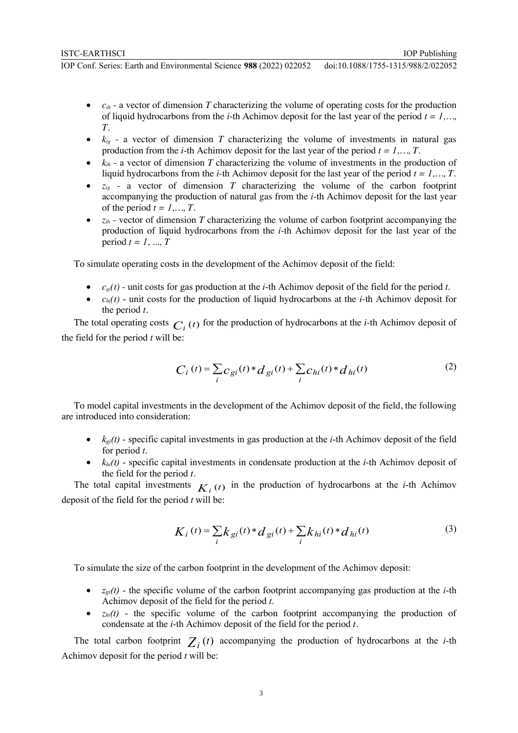IOP Conf. Series: Earth and Environmental Science **988** (2022) 022052 doi:10.1088/1755-1315/988/2/022052

- $c_{ih}$  a vector of dimension *T* characterizing the volume of operating costs for the production of liquid hydrocarbons from the *i*-th Achimov deposit for the last year of the period  $t = 1, \ldots$ *T*.
- $k_{ig}$  a vector of dimension  $T$  characterizing the volume of investments in natural gas production from the *i*-th Achimov deposit for the last year of the period *t = 1,…, T*.
- $k_{ih}$  a vector of dimension *T* characterizing the volume of investments in the production of liquid hydrocarbons from the *i*-th Achimov deposit for the last year of the period *t = 1,…, T*.
- $z_{ig}$  a vector of dimension *T* characterizing the volume of the carbon footprint accompanying the production of natural gas from the *i*-th Achimov deposit for the last year of the period  $t = 1, \ldots, T$ .
- *zih* vector of dimension *T* characterizing the volume of carbon footprint accompanying the production of liquid hydrocarbons from the *i*-th Achimov deposit for the last year of the period *t = 1, ..., T*

To simulate operating costs in the development of the Achimov deposit of the field:

- $c_{\text{gl}}(t)$  unit costs for gas production at the *i*-th Achimov deposit of the field for the period *t*.
- $\bullet$  *c<sub>hi</sub>(t)* unit costs for the production of liquid hydrocarbons at the *i*-th Achimov deposit for the period *t.*

The total operating costs  $C_i(t)$  for the production of hydrocarbons at the *i*-th Achimov deposit of the field for the period *t* will be:

$$
C_i(t) = \sum_i c_{gi}(t) * d_{gi}(t) + \sum_i c_{hi}(t) * d_{hi}(t)
$$
 (2)

To model capital investments in the development of the Achimov deposit of the field, the following are introduced into consideration:

- $k_{ei}(t)$  specific capital investments in gas production at the *i*-th Achimov deposit of the field for period *t*.
- $k_{hi}(t)$  specific capital investments in condensate production at the *i*-th Achimov deposit of the field for the period *t*.

The total capital investments  $K_i(t)$  in the production of hydrocarbons at the *i*-th Achimov deposit of the field for the period *t* will be:

$$
K_i(t) = \sum_{i} k_{gi}(t) * d_{gi}(t) + \sum_{i} k_{hi}(t) * d_{hi}(t)
$$
 (3)

To simulate the size of the carbon footprint in the development of the Achimov deposit:

- $z_{gi}(t)$  the specific volume of the carbon footprint accompanying gas production at the *i*-th Achimov deposit of the field for the period *t*.
- $z<sub>hi</sub>(t)$  the specific volume of the carbon footprint accompanying the production of condensate at the *i*-th Achimov deposit of the field for the period *t*.

The total carbon footprint  $Z_i(t)$  accompanying the production of hydrocarbons at the *i*-th Achimov deposit for the period *t* will be: